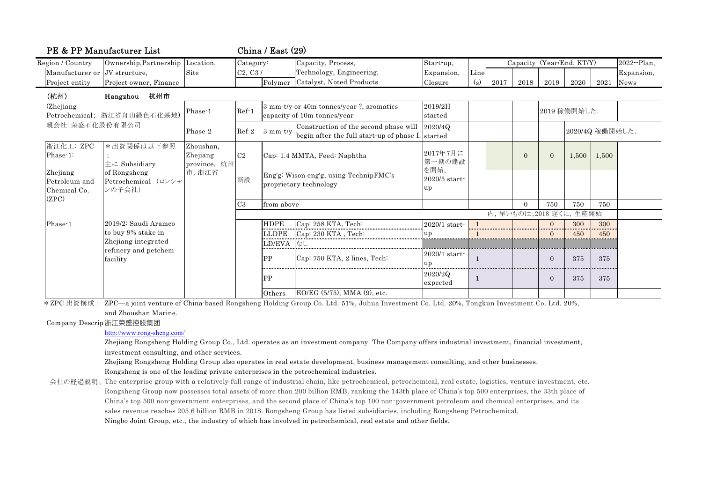| PE & PP Manufacturer List                                   |                                               |                                       | China / East $(29)$                                                                                                  |                                                                  |                                                                         |                       |      |                           |          |                 |              |             |              |
|-------------------------------------------------------------|-----------------------------------------------|---------------------------------------|----------------------------------------------------------------------------------------------------------------------|------------------------------------------------------------------|-------------------------------------------------------------------------|-----------------------|------|---------------------------|----------|-----------------|--------------|-------------|--------------|
| Region / Country                                            | Ownership, Partnership                        | Location,                             | Category:                                                                                                            |                                                                  | Capacity, Process,                                                      | Start up,             |      | Capacity (Year/End, KT/Y) |          |                 |              |             | 2022 - Plan. |
| Manufacturer or JV structure,                               |                                               | Site                                  | C2, C3/                                                                                                              |                                                                  | Technology, Engineering,                                                | Expansion,            | Line |                           |          |                 |              |             | Expansion,   |
| Project entity                                              | Project owner, Finance                        |                                       |                                                                                                                      |                                                                  | Polymer Catalyst, Noted Products                                        | Closure               | (s)  | 2017                      | 2018     | 2019            | 2020         | $2021$ News |              |
| (杭州)<br>Hangzhou 杭州市                                        |                                               |                                       |                                                                                                                      |                                                                  |                                                                         |                       |      |                           |          |                 |              |             |              |
| (Zhejiang)<br>Petrochemical; 浙江省舟山緑色石化基地)<br>親会社:荣盛石化股份有限公司 |                                               | Phase-1                               | $Ref-1$                                                                                                              |                                                                  | 3 mm-t/y or 40m tonnes/year ?, aromatics<br>capacity of 10m tonnes/year | 2019/2H<br>started    |      |                           |          |                 | 2019 稼働開始した. |             |              |
|                                                             |                                               | Phase-2                               | Construction of the second phase will<br>$Ref-2$<br>$3 \text{ mm}$ -t/y<br>begin after the full start-up of phase I. |                                                                  | 2020/40<br>started                                                      |                       |      |                           |          | 2020/4Q 稼働開始した. |              |             |              |
| 浙江化工; ZPC<br>Phase 1:                                       | *出資関係は以下参照<br>$\pm$ $\zeta$ Subsidiary        | Zhoushan,<br>Zhejiang<br>province, 杭州 | C2                                                                                                                   |                                                                  | Cap: 1.4 MMTA, Feed: Naphtha                                            | 2017年7月に<br>第一期の建設    |      |                           | $\Omega$ | $\Omega$        | 1,500        | 1,500       |              |
| Zhejiang<br>Petroleum and<br>Chemical Co.<br>(ZPC)          | of Rongsheng<br>Petrochemical (ロンシャ<br>ンの子会社) | 市, 浙江省<br>新設                          |                                                                                                                      | Eng'g: Wison eng'g, using TechnipFMC's<br>proprietary technology | を開始,<br>$2020/5$ start-<br>up                                           |                       |      |                           |          |                 |              |             |              |
|                                                             |                                               |                                       | C <sub>3</sub>                                                                                                       | from above                                                       |                                                                         |                       |      |                           | $\Omega$ | 750             | 750          | 750         |              |
|                                                             |                                               |                                       | 内, 早いものは;2018 遅くに, 生産開始                                                                                              |                                                                  |                                                                         |                       |      |                           |          |                 |              |             |              |
| Phase-1                                                     | 2019/2: Saudi Aramco                          |                                       |                                                                                                                      | <b>HDPE</b>                                                      | Cap: 258 KTA, Tech:                                                     | $2020/1$ start        |      |                           |          |                 | 300          | 300<br>.    |              |
|                                                             | to buy 9% stake in                            |                                       |                                                                                                                      | <b>LLDPE</b><br>                                                 | Cap: 230 KTA, Tech:                                                     | up                    |      |                           |          | $\Omega$        | 450          | 450<br>.    |              |
|                                                             | Zhejiang integrated                           |                                       |                                                                                                                      | LD/EVA                                                           |                                                                         |                       |      |                           |          |                 |              |             |              |
|                                                             | refinery and petchem<br>facility              |                                       |                                                                                                                      | PP                                                               | Cap: 750 KTA, 2 lines, Tech:                                            | $2020/1$ start-<br>up |      |                           |          | $\Omega$        | 375          | 375         |              |
|                                                             |                                               |                                       |                                                                                                                      | PP                                                               |                                                                         | 2020/2Q<br>expected   | 1    |                           |          | $\Omega$        | 375          | 375         |              |
|                                                             |                                               |                                       |                                                                                                                      | Others                                                           | EO/EG (5/75), MMA (9), etc.                                             |                       |      |                           |          |                 |              |             |              |

\*ZPC 出資構成: ZPC—a joint venture of China-based Rongsheng Holding Group Co. Ltd. 51%, Juhua Investment Co. Ltd. 20%, Tongkun Investment Co. Ltd. 20%, and Zhoushan Marine.

Company Descrip 浙江荣盛控股集团

http://www.rong-sheng.com/

Zhejiang Rongsheng Holding Group Co., Ltd. operates as an investment company. The Company offers industrial investment, financial investment, investment consulting, and other services.

Zhejiang Rongsheng Holding Group also operates in real estate development, business management consulting, and other businesses. Rongsheng is one of the leading private enterprises in the petrochemical industries.

会社の経過説明; The enterprise group with a relatively full range of industrial chain, like petrochemical, petrochemical, real estate, logistics, venture investment, etc. Rongsheng Group now possesses total assets of more than 200 billion RMB, ranking the 143th place of China's top 500 enterprises, the 33th place of China's top 500 non-government enterprises, and the second place of China's top 100 non-government petroleum and chemical enterprises, and its sales revenue reaches 205.6 billion RMB in 2018. Rongsheng Group has listed subsidiaries, including Rongsheng Petrochemical, Ningbo Joint Group, etc., the industry of which has involved in petrochemical, real estate and other fields.